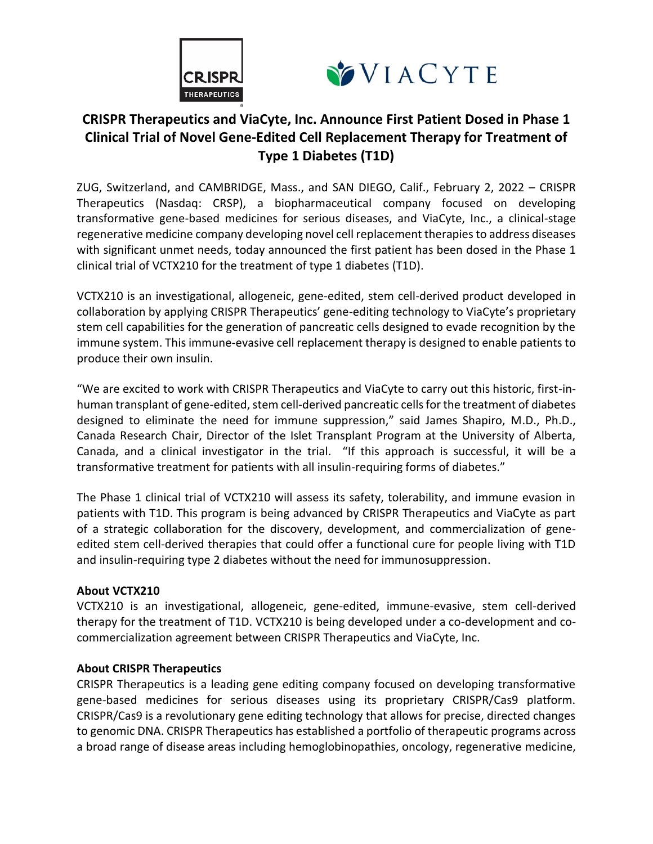



# **CRISPR Therapeutics and ViaCyte, Inc. Announce First Patient Dosed in Phase 1 Clinical Trial of Novel Gene-Edited Cell Replacement Therapy for Treatment of Type 1 Diabetes (T1D)**

ZUG, Switzerland, and CAMBRIDGE, Mass., and SAN DIEGO, Calif., February 2, 2022 – CRISPR Therapeutics (Nasdaq: CRSP), a biopharmaceutical company focused on developing transformative gene-based medicines for serious diseases, and ViaCyte, Inc., a clinical-stage regenerative medicine company developing novel cell replacement therapies to address diseases with significant unmet needs, today announced the first patient has been dosed in the Phase 1 clinical trial of VCTX210 for the treatment of type 1 diabetes (T1D).

VCTX210 is an investigational, allogeneic, gene-edited, stem cell-derived product developed in collaboration by applying CRISPR Therapeutics' gene-editing technology to ViaCyte's proprietary stem cell capabilities for the generation of pancreatic cells designed to evade recognition by the immune system. This immune-evasive cell replacement therapy is designed to enable patients to produce their own insulin.

"We are excited to work with CRISPR Therapeutics and ViaCyte to carry out this historic, first-inhuman transplant of gene-edited, stem cell-derived pancreatic cells for the treatment of diabetes designed to eliminate the need for immune suppression," said James Shapiro, M.D., Ph.D., Canada Research Chair, Director of the Islet Transplant Program at the University of Alberta, Canada, and a clinical investigator in the trial. "If this approach is successful, it will be a transformative treatment for patients with all insulin-requiring forms of diabetes."

The Phase 1 clinical trial of VCTX210 will assess its safety, tolerability, and immune evasion in patients with T1D. This program is being advanced by CRISPR Therapeutics and ViaCyte as part of a strategic collaboration for the discovery, development, and commercialization of geneedited stem cell-derived therapies that could offer a functional cure for people living with T1D and insulin-requiring type 2 diabetes without the need for immunosuppression.

## **About VCTX210**

VCTX210 is an investigational, allogeneic, gene-edited, immune-evasive, stem cell-derived therapy for the treatment of T1D. VCTX210 is being developed under a co-development and cocommercialization agreement between CRISPR Therapeutics and ViaCyte, Inc.

## **About CRISPR Therapeutics**

CRISPR Therapeutics is a leading gene editing company focused on developing transformative gene-based medicines for serious diseases using its proprietary CRISPR/Cas9 platform. CRISPR/Cas9 is a revolutionary gene editing technology that allows for precise, directed changes to genomic DNA. CRISPR Therapeutics has established a portfolio of therapeutic programs across a broad range of disease areas including hemoglobinopathies, oncology, regenerative medicine,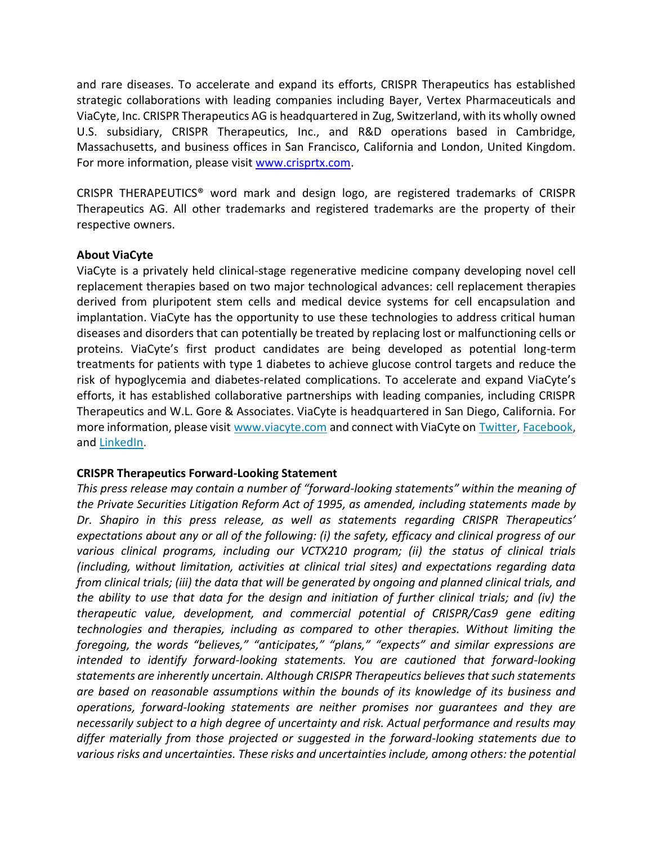and rare diseases. To accelerate and expand its efforts, CRISPR Therapeutics has established strategic collaborations with leading companies including Bayer, Vertex Pharmaceuticals and ViaCyte, Inc. CRISPR Therapeutics AG is headquartered in Zug, Switzerland, with its wholly owned U.S. subsidiary, CRISPR Therapeutics, Inc., and R&D operations based in Cambridge, Massachusetts, and business offices in San Francisco, California and London, United Kingdom. For more information, please visit [www.crisprtx.com.](http://www.crisprtx.com/)

CRISPR THERAPEUTICS® word mark and design logo, are registered trademarks of CRISPR Therapeutics AG. All other trademarks and registered trademarks are the property of their respective owners.

#### **About ViaCyte**

ViaCyte is a privately held clinical-stage regenerative medicine company developing novel cell replacement therapies based on two major technological advances: cell replacement therapies derived from pluripotent stem cells and medical device systems for cell encapsulation and implantation. ViaCyte has the opportunity to use these technologies to address critical human diseases and disorders that can potentially be treated by replacing lost or malfunctioning cells or proteins. ViaCyte's first product candidates are being developed as potential long-term treatments for patients with type 1 diabetes to achieve glucose control targets and reduce the risk of hypoglycemia and diabetes-related complications. To accelerate and expand ViaCyte's efforts, it has established collaborative partnerships with leading companies, including CRISPR Therapeutics and W.L. Gore & Associates. ViaCyte is headquartered in San Diego, California. For more information, please visit [www.viacyte.com](https://www.globenewswire.com/Tracker?data=7hUgIj692zuICCNYSzF0I5h-sMbKOGodWzesK2jIpuHqM-DLzWK6dnwOeWSiygflSjKJcYiAyto8XCLgTiq4ew==) and connect with ViaCyte on [Twitter,](https://www.globenewswire.com/Tracker?data=IjyshtJQi9ADyMrqF1Wh0At_ZVbMk2ijT0PmQxcjjSjsoLdgSwiEDYSoApwyegRLDXQVyZ17rRZPk-Ln_ZLCFA==) [Facebook,](https://www.globenewswire.com/Tracker?data=F-CEkhTyyYlsizfVCf-MQlPXl63F-gNSLGQsBWz8weTeKODjIE-65xuBglWRE50pwt48bhucDXnvtgRqJIFM4g==) and [LinkedIn.](https://www.globenewswire.com/Tracker?data=EmAo69e09DD3zjNsiA213Sm5xb1LmLR0tzK-6Nckz9WuTjt9f8EkxydMp_0_UZgKMXgfLyCfy3YXrO9GxWYVRCPoFmosFqSAYiyz8py9flaVS4W6tA3SLevCAViFHggP)

## **CRISPR Therapeutics Forward-Looking Statement**

*This press release may contain a number of "forward-looking statements" within the meaning of the Private Securities Litigation Reform Act of 1995, as amended, including statements made by Dr. Shapiro in this press release, as well as statements regarding CRISPR Therapeutics' expectations about any or all of the following: (i) the safety, efficacy and clinical progress of our various clinical programs, including our VCTX210 program; (ii) the status of clinical trials (including, without limitation, activities at clinical trial sites) and expectations regarding data from clinical trials; (iii) the data that will be generated by ongoing and planned clinical trials, and the ability to use that data for the design and initiation of further clinical trials; and (iv) the therapeutic value, development, and commercial potential of CRISPR/Cas9 gene editing technologies and therapies, including as compared to other therapies. Without limiting the foregoing, the words "believes," "anticipates," "plans," "expects" and similar expressions are intended to identify forward-looking statements. You are cautioned that forward-looking statements are inherently uncertain. Although CRISPR Therapeutics believes that such statements are based on reasonable assumptions within the bounds of its knowledge of its business and operations, forward-looking statements are neither promises nor guarantees and they are necessarily subject to a high degree of uncertainty and risk. Actual performance and results may differ materially from those projected or suggested in the forward-looking statements due to various risks and uncertainties. These risks and uncertainties include, among others: the potential*